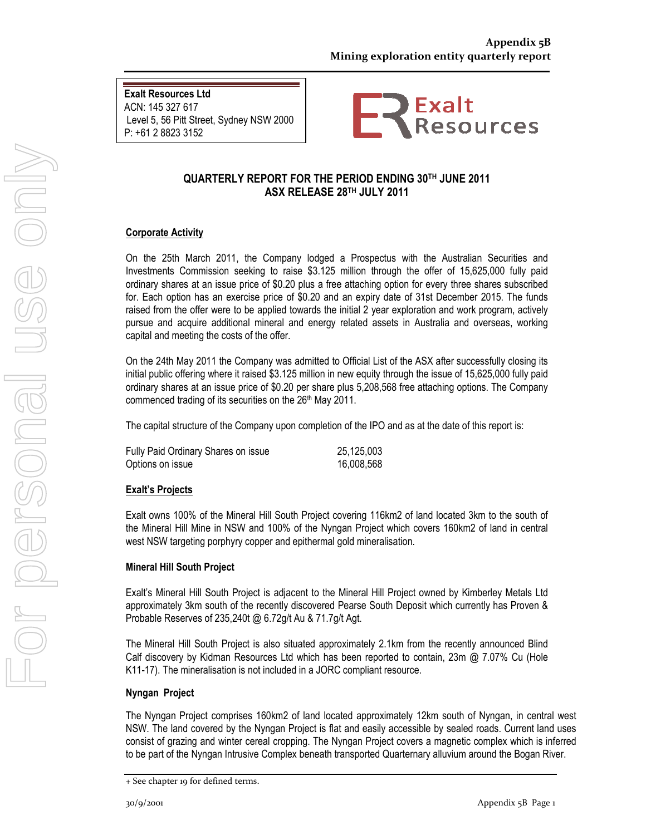Exalt Resources Ltd ACN: 145 327 617 Level 5, 56 Pitt Street, Sydney NSW 2000 P: +61 2 8823 3152



#### QUARTERLY REPORT FOR THE PERIOD ENDING 30TH JUNE 2011 ASX RELEASE 28TH JULY 2011

#### Corporate Activity

On the 25th March 2011, the Company lodged a Prospectus with the Australian Securities and Investments Commission seeking to raise \$3.125 million through the offer of 15,625,000 fully paid ordinary shares at an issue price of \$0.20 plus a free attaching option for every three shares subscribed for. Each option has an exercise price of \$0.20 and an expiry date of 31st December 2015. The funds raised from the offer were to be applied towards the initial 2 year exploration and work program, actively pursue and acquire additional mineral and energy related assets in Australia and overseas, working capital and meeting the costs of the offer.

On the 24th May 2011 the Company was admitted to Official List of the ASX after successfully closing its initial public offering where it raised \$3.125 million in new equity through the issue of 15,625,000 fully paid ordinary shares at an issue price of \$0.20 per share plus 5,208,568 free attaching options. The Company commenced trading of its securities on the 26<sup>th</sup> May 2011.

The capital structure of the Company upon completion of the IPO and as at the date of this report is:

| Fully Paid Ordinary Shares on issue | 25,125,003 |
|-------------------------------------|------------|
| Options on issue                    | 16,008,568 |

#### Exalt's Projects

Exalt owns 100% of the Mineral Hill South Project covering 116km2 of land located 3km to the south of the Mineral Hill Mine in NSW and 100% of the Nyngan Project which covers 160km2 of land in central west NSW targeting porphyry copper and epithermal gold mineralisation.

#### Mineral Hill South Project

Exalt's Mineral Hill South Project is adjacent to the Mineral Hill Project owned by Kimberley Metals Ltd approximately 3km south of the recently discovered Pearse South Deposit which currently has Proven & Probable Reserves of 235,240t @ 6.72g/t Au & 71.7g/t Agt.

The Mineral Hill South Project is also situated approximately 2.1km from the recently announced Blind Calf discovery by Kidman Resources Ltd which has been reported to contain, 23m @ 7.07% Cu (Hole K11-17). The mineralisation is not included in a JORC compliant resource.

#### Nyngan Project

The Nyngan Project comprises 160km2 of land located approximately 12km south of Nyngan, in central west NSW. The land covered by the Nyngan Project is flat and easily accessible by sealed roads. Current land uses consist of grazing and winter cereal cropping. The Nyngan Project covers a magnetic complex which is inferred to be part of the Nyngan Intrusive Complex beneath transported Quarternary alluvium around the Bogan River.

<sup>+</sup> See chapter 19 for defined terms.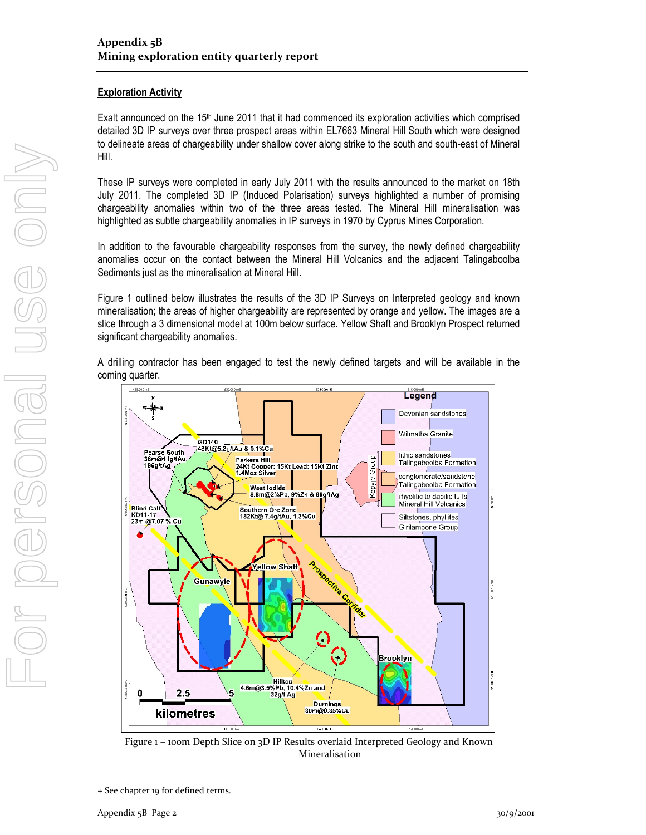#### **Exploration Activity**

Exalt announced on the  $15<sup>th</sup>$  June 2011 that it had commenced its exploration activities which comprised detailed 3D IP surveys over three prospect areas within EL7663 Mineral Hill South which were designed to delineate areas of chargeability under shallow cover along strike to the south and south-east of Mineral Hill.

These IP surveys were completed in early July 2011 with the results announced to the market on 18th July 2011. The completed 3D IP (Induced Polarisation) surveys highlighted a number of promising chargeability anomalies within two of the three areas tested. The Mineral Hill mineralisation was highlighted as subtle chargeability anomalies in IP surveys in 1970 by Cyprus Mines Corporation.

In addition to the favourable chargeability responses from the survey, the newly defined chargeability anomalies occur on the contact between the Mineral Hill Volcanics and the adjacent Talingaboolba Sediments just as the mineralisation at Mineral Hill.

Figure 1 outlined below illustrates the results of the 3D IP Surveys on Interpreted geology and known mineralisation; the areas of higher chargeability are represented by orange and yellow. The images are a slice through a 3 dimensional model at 100m below surface. Yellow Shaft and Brooklyn Prospect returned significant chargeability anomalies.

A drilling contractor has been engaged to test the newly defined targets and will be available in the coming quarter.



Figure 1 – 100m Depth Slice on 3D IP Results overlaid Interpreted Geology and Known Mineralisation

<sup>+</sup> See chapter 19 for defined terms.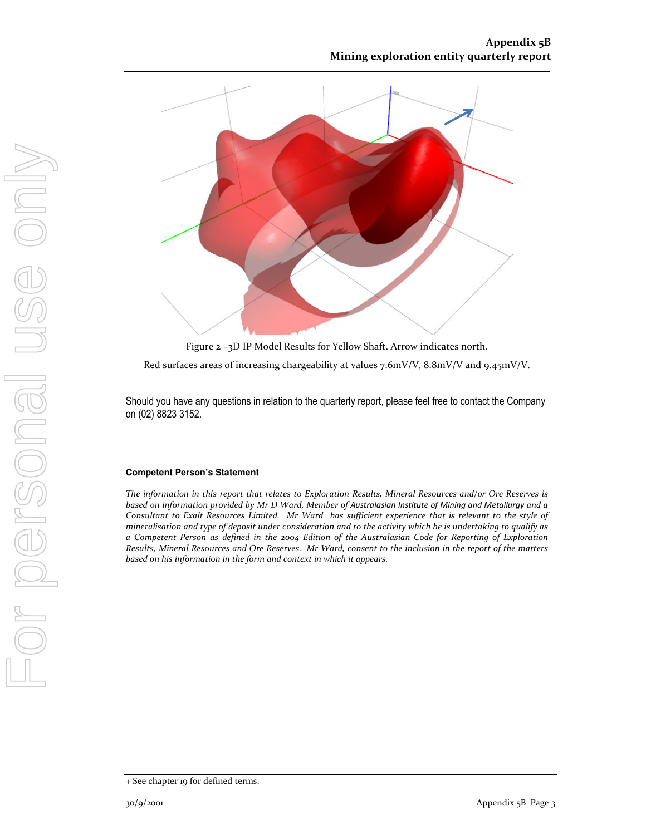

Figure 2 –3D IP Model Results for Yellow Shaft. Arrow indicates north.

Red surfaces areas of increasing chargeability at values 7.6mV/V, 8.8mV/V and 9.45mV/V.

Should you have any questions in relation to the quarterly report, please feel free to contact the Company on (02) 8823 3152.

#### **Competent Person's Statement**

The information in this report that relates to Exploration Results, Mineral Resources and/or Ore Reserves is based on information provided by Mr D Ward, Member of Australasian Institute of Mining and Metallurgy and a Consultant to Exalt Resources Limited. Mr Ward has sufficient experience that is relevant to the style of mineralisation and type of deposit under consideration and to the activity which he is undertaking to qualify as a Competent Person as defined in the 2004 Edition of the Australasian Code for Reporting of Exploration Results, Mineral Resources and Ore Reserves. Mr Ward, consent to the inclusion in the report of the matters based on his information in the form and context in which it appears.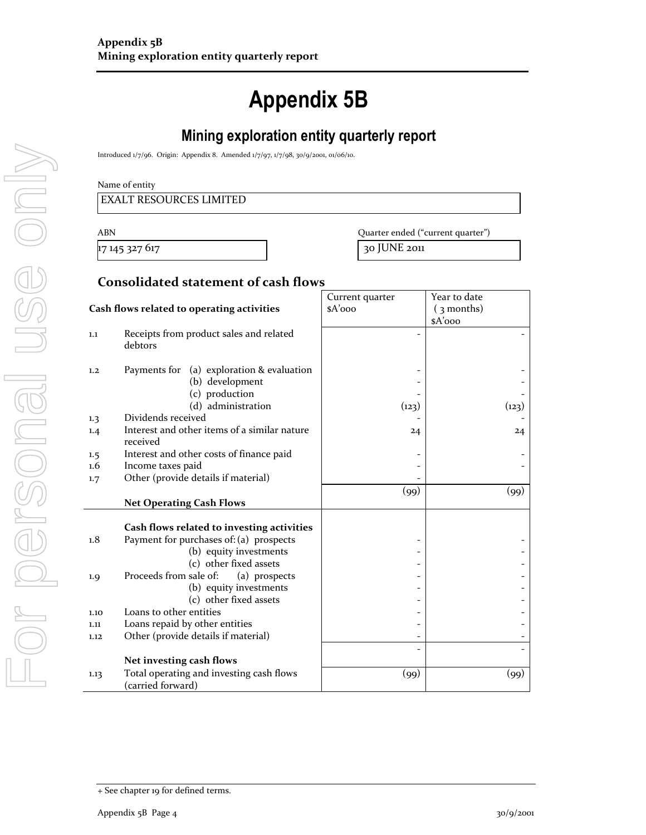# Appendix 5B

# Mining exploration entity quarterly report

Introduced 1/7/96. Origin: Appendix 8. Amended 1/7/97, 1/7/98, 30/9/2001, 01/06/10.

#### Name of entity

17 145 327 617 30 JUNE 2011

ABN Quarter ended ("current quarter")

#### Consolidated statement of cash flows

|                                            |                                              | Current quarter | Year to date |
|--------------------------------------------|----------------------------------------------|-----------------|--------------|
| Cash flows related to operating activities |                                              | $A'$ 000        | $(3$ months) |
|                                            |                                              |                 | $A'$ ooo     |
| 1.1                                        | Receipts from product sales and related      |                 |              |
|                                            | debtors                                      |                 |              |
|                                            |                                              |                 |              |
| 1,2                                        | (a) exploration & evaluation<br>Payments for |                 |              |
|                                            | (b) development                              |                 |              |
|                                            | (c) production                               |                 |              |
|                                            | (d) administration                           | (123)           | (123)        |
| 1.3                                        | Dividends received                           |                 |              |
| 1.4                                        | Interest and other items of a similar nature | 24              | 24           |
|                                            | received                                     |                 |              |
| 1.5                                        | Interest and other costs of finance paid     |                 |              |
| 1.6                                        | Income taxes paid                            |                 |              |
| 1.7                                        | Other (provide details if material)          |                 |              |
|                                            |                                              | (99)            | (99)         |
|                                            | <b>Net Operating Cash Flows</b>              |                 |              |
|                                            |                                              |                 |              |
|                                            | Cash flows related to investing activities   |                 |              |
| 1.8                                        | Payment for purchases of: (a) prospects      |                 |              |
|                                            | (b) equity investments                       |                 |              |
|                                            | (c) other fixed assets                       |                 |              |
| 1.9                                        | Proceeds from sale of:<br>(a) prospects      |                 |              |
|                                            | (b) equity investments                       |                 |              |
|                                            | (c) other fixed assets                       |                 |              |
| 1.10                                       | Loans to other entities                      |                 |              |
| 1.11                                       | Loans repaid by other entities               |                 |              |
| 1.12                                       | Other (provide details if material)          |                 |              |
|                                            |                                              |                 |              |
|                                            | Net investing cash flows                     |                 |              |
| 1.13                                       | Total operating and investing cash flows     | (99)            | (99)         |
|                                            | (carried forward)                            |                 |              |

<sup>+</sup> See chapter 19 for defined terms.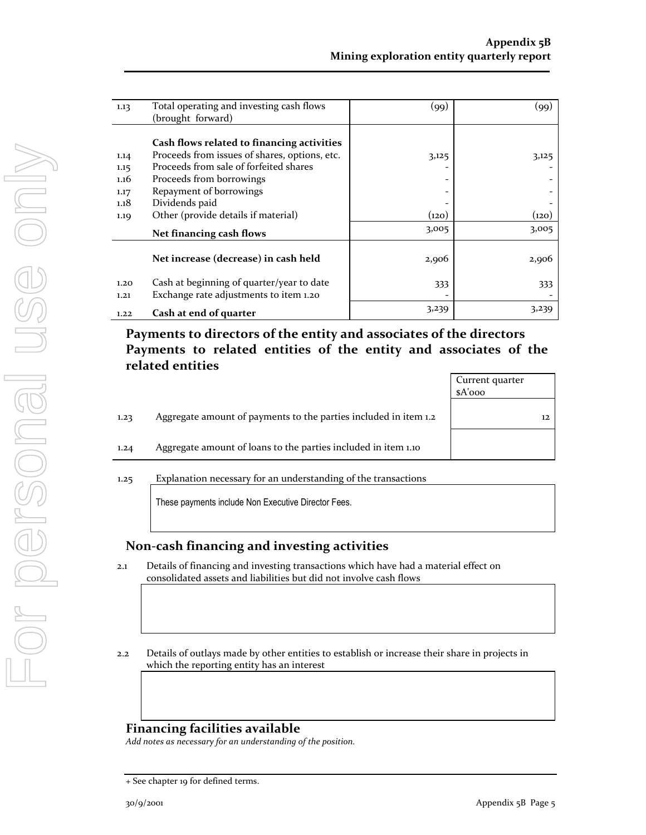| 1.13 | Total operating and investing cash flows      | (99)                         | (99)  |
|------|-----------------------------------------------|------------------------------|-------|
|      | (brought forward)                             |                              |       |
|      |                                               |                              |       |
|      | Cash flows related to financing activities    |                              |       |
| 1.14 | Proceeds from issues of shares, options, etc. | 3,125                        | 3,125 |
| 1.15 | Proceeds from sale of forfeited shares        |                              |       |
| 1.16 | Proceeds from borrowings                      | $\qquad \qquad \blacksquare$ |       |
| 1.17 | Repayment of borrowings                       |                              |       |
| 1.18 | Dividends paid                                |                              |       |
| 1.19 | Other (provide details if material)           | (120)                        | (120) |
|      | Net financing cash flows                      | 3,005                        | 3,005 |
|      |                                               |                              |       |
|      | Net increase (decrease) in cash held          | 2,906                        | 2,906 |
|      |                                               |                              |       |
| 1.20 | Cash at beginning of quarter/year to date     | 333                          | 333   |
| 1.21 | Exchange rate adjustments to item 1.20        |                              |       |
| 1.22 | Cash at end of quarter                        | 3,239                        | 3,239 |

# Payments to directors of the entity and associates of the directors Payments to related entities of the entity and associates of the related entities

|      |                                                                  | Current quarter |    |
|------|------------------------------------------------------------------|-----------------|----|
|      |                                                                  | $A'$ ooo        |    |
| 1.23 | Aggregate amount of payments to the parties included in item 1.2 |                 | 12 |
| 1.24 | Aggregate amount of loans to the parties included in item 1.10   |                 |    |
| 1.25 | Explanation necessary for an understanding of the transactions   |                 |    |
|      | These payments include Non Executive Director Fees.              |                 |    |

### Non-cash financing and investing activities

- 2.1 Details of financing and investing transactions which have had a material effect on consolidated assets and liabilities but did not involve cash flows
- 2.2 Details of outlays made by other entities to establish or increase their share in projects in which the reporting entity has an interest

## Financing facilities available

Add notes as necessary for an understanding of the position.

<sup>+</sup> See chapter 19 for defined terms.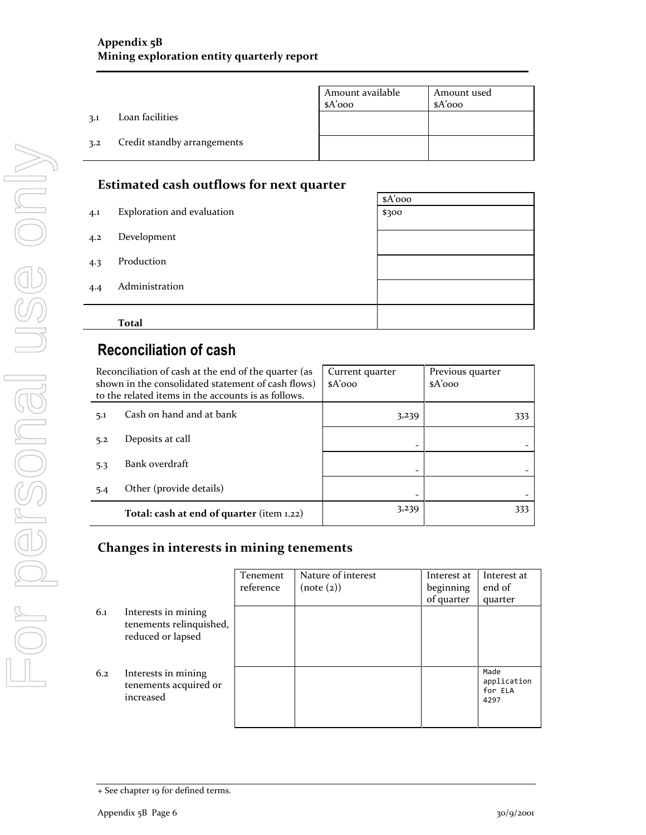|     |                             | Amount available<br>$A'$ 000 | Amount used<br>sA'ooo |
|-----|-----------------------------|------------------------------|-----------------------|
| 3.1 | Loan facilities             |                              |                       |
| 3.2 | Credit standby arrangements |                              |                       |

# Estimated cash outflows for next quarter

| 4.4 | Administration             |          |
|-----|----------------------------|----------|
| 4.3 | Production                 |          |
| 4.2 | Development                |          |
| 4.1 | Exploration and evaluation | \$300    |
|     |                            | $A'$ 000 |

# Reconciliation of cash

|     | Reconciliation of cash at the end of the quarter (as<br>shown in the consolidated statement of cash flows)<br>to the related items in the accounts is as follows. | Current quarter<br>$A'$ 000 | Previous quarter<br>$A'$ 000 |
|-----|-------------------------------------------------------------------------------------------------------------------------------------------------------------------|-----------------------------|------------------------------|
| 5.1 | Cash on hand and at bank                                                                                                                                          | 3,239                       | 333                          |
| 5.2 | Deposits at call                                                                                                                                                  |                             |                              |
| 5.3 | Bank overdraft                                                                                                                                                    |                             |                              |
| 5.4 | Other (provide details)                                                                                                                                           |                             |                              |
|     | Total: cash at end of quarter (item 1.22)                                                                                                                         | 3,239                       | 333                          |

# Changes in interests in mining tenements

|     |                                                                     | Tenement<br>reference | Nature of interest<br>(note (2)) | Interest at<br>beginning | Interest at<br>end of                  |
|-----|---------------------------------------------------------------------|-----------------------|----------------------------------|--------------------------|----------------------------------------|
| 6.1 | Interests in mining<br>tenements relinquished,<br>reduced or lapsed |                       |                                  | of quarter               | quarter                                |
| 6.2 | Interests in mining<br>tenements acquired or<br>increased           |                       |                                  |                          | Made<br>application<br>for ELA<br>4297 |

<sup>+</sup> See chapter 19 for defined terms.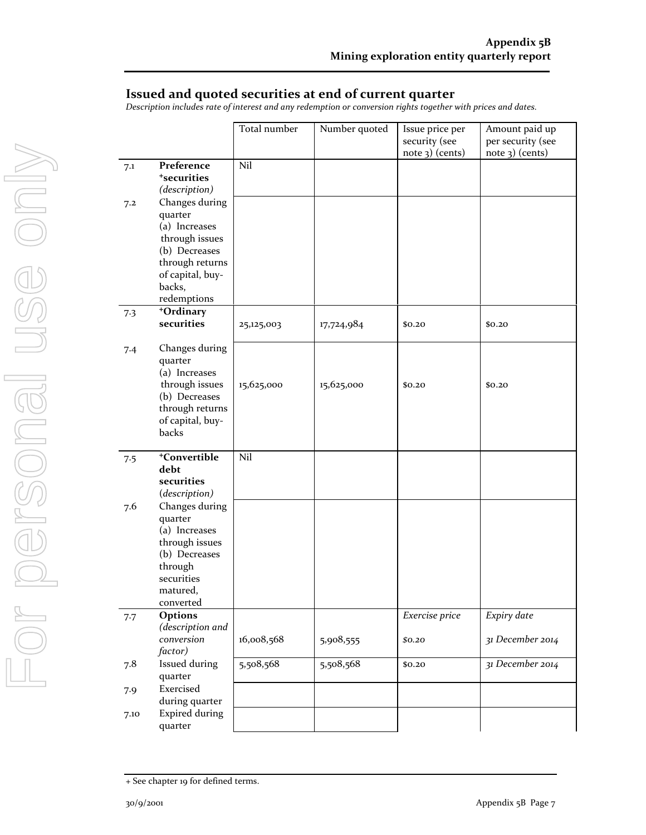### Issued and quoted securities at end of current quarter

Description includes rate of interest and any redemption or conversion rights together with prices and dates.

|      |                             | Total number | Number quoted | Issue price per<br>security (see | Amount paid up<br>per security (see |
|------|-----------------------------|--------------|---------------|----------------------------------|-------------------------------------|
|      |                             |              |               | note 3) (cents)                  | $note$ 3) (cents)                   |
| 7.1  | Preference                  | Nil          |               |                                  |                                     |
|      | <sup>+</sup> securities     |              |               |                                  |                                     |
|      | (description)               |              |               |                                  |                                     |
| 7.2  | Changes during              |              |               |                                  |                                     |
|      | quarter                     |              |               |                                  |                                     |
|      | (a) Increases               |              |               |                                  |                                     |
|      | through issues              |              |               |                                  |                                     |
|      | (b) Decreases               |              |               |                                  |                                     |
|      | through returns             |              |               |                                  |                                     |
|      | of capital, buy-            |              |               |                                  |                                     |
|      | backs,<br>redemptions       |              |               |                                  |                                     |
|      | +Ordinary                   |              |               |                                  |                                     |
| 7.3  | securities                  | 25,125,003   | 17,724,984    | \$0.20                           | \$0.20                              |
|      |                             |              |               |                                  |                                     |
| 7.4  | Changes during              |              |               |                                  |                                     |
|      | quarter                     |              |               |                                  |                                     |
|      | (a) Increases               |              |               |                                  |                                     |
|      | through issues              | 15,625,000   | 15,625,000    | \$0.20                           | \$0.20                              |
|      | (b) Decreases               |              |               |                                  |                                     |
|      | through returns             |              |               |                                  |                                     |
|      | of capital, buy-            |              |               |                                  |                                     |
|      | backs                       |              |               |                                  |                                     |
|      | <sup>+</sup> Convertible    | Nil          |               |                                  |                                     |
| 7.5  | debt                        |              |               |                                  |                                     |
|      | securities                  |              |               |                                  |                                     |
|      | (description)               |              |               |                                  |                                     |
| 7.6  | Changes during              |              |               |                                  |                                     |
|      | quarter                     |              |               |                                  |                                     |
|      | (a) Increases               |              |               |                                  |                                     |
|      | through issues              |              |               |                                  |                                     |
|      | (b) Decreases               |              |               |                                  |                                     |
|      | through                     |              |               |                                  |                                     |
|      | securities                  |              |               |                                  |                                     |
|      | matured,                    |              |               |                                  |                                     |
|      | converted                   |              |               |                                  |                                     |
| 7.7  | Options<br>(description and |              |               | Exercise price                   | Expiry date                         |
|      | conversion                  | 16,008,568   | 5,908,555     | \$0.20                           | 31 December 2014                    |
|      | factor)                     |              |               |                                  |                                     |
| 7.8  | Issued during               | 5,508,568    | 5,508,568     | \$0.20                           | 31 December 2014                    |
|      | quarter                     |              |               |                                  |                                     |
| 7.9  | Exercised                   |              |               |                                  |                                     |
|      | during quarter              |              |               |                                  |                                     |
| 7.10 | <b>Expired during</b>       |              |               |                                  |                                     |
|      | quarter                     |              |               |                                  |                                     |

<sup>+</sup> See chapter 19 for defined terms.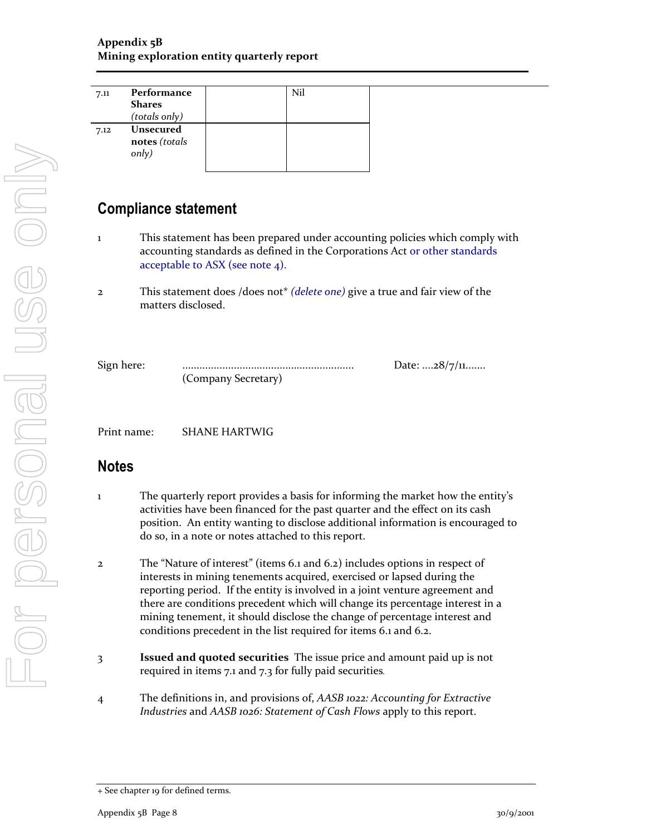| 7.11 | Performance      | Nil |
|------|------------------|-----|
|      | <b>Shares</b>    |     |
|      | (totals only)    |     |
| 7.12 | <b>Unsecured</b> |     |
|      | notes (totals    |     |
|      | only)            |     |
|      |                  |     |

# Compliance statement

- 1 This statement has been prepared under accounting policies which comply with accounting standards as defined in the Corporations Act or other standards acceptable to ASX (see note 4).
- 2 This statement does /does not\* (delete one) give a true and fair view of the matters disclosed.

(Company Secretary)

Sign here: ............................................................ Date: ....28/7/11.......

Print name: SHANE HARTWIG

# Notes

- 1 The quarterly report provides a basis for informing the market how the entity's activities have been financed for the past quarter and the effect on its cash position. An entity wanting to disclose additional information is encouraged to do so, in a note or notes attached to this report.
- 2 The "Nature of interest" (items 6.1 and 6.2) includes options in respect of interests in mining tenements acquired, exercised or lapsed during the reporting period. If the entity is involved in a joint venture agreement and there are conditions precedent which will change its percentage interest in a mining tenement, it should disclose the change of percentage interest and conditions precedent in the list required for items 6.1 and 6.2.
- 3 Issued and quoted securities The issue price and amount paid up is not required in items 7.1 and 7.3 for fully paid securities.
- 4 The definitions in, and provisions of, AASB 1022: Accounting for Extractive Industries and AASB 1026: Statement of Cash Flows apply to this report.

<sup>+</sup> See chapter 19 for defined terms.